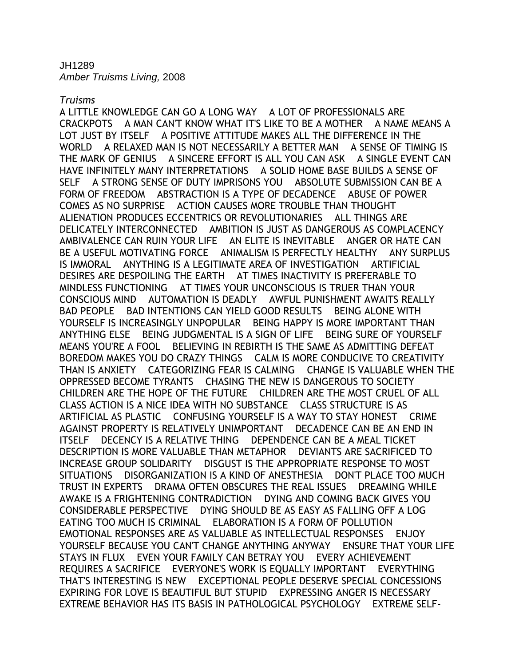## JH1289

*Amber Truisms Living,* 2008

## *Truisms*

A LITTLE KNOWLEDGE CAN GO A LONG WAY A LOT OF PROFESSIONALS ARE CRACKPOTS A MAN CAN'T KNOW WHAT IT'S LIKE TO BE A MOTHER A NAME MEANS A LOT JUST BY ITSELF A POSITIVE ATTITUDE MAKES ALL THE DIFFERENCE IN THE WORLD A RELAXED MAN IS NOT NECESSARILY A BETTER MAN A SENSE OF TIMING IS THE MARK OF GENIUS A SINCERE EFFORT IS ALL YOU CAN ASK A SINGLE EVENT CAN HAVE INFINITELY MANY INTERPRETATIONS A SOLID HOME BASE BUILDS A SENSE OF SELF A STRONG SENSE OF DUTY IMPRISONS YOU ABSOLUTE SUBMISSION CAN BE A FORM OF FREEDOM ABSTRACTION IS A TYPE OF DECADENCE ABUSE OF POWER COMES AS NO SURPRISE ACTION CAUSES MORE TROUBLE THAN THOUGHT ALIENATION PRODUCES ECCENTRICS OR REVOLUTIONARIES ALL THINGS ARE DELICATELY INTERCONNECTED AMBITION IS JUST AS DANGEROUS AS COMPLACENCY AMBIVALENCE CAN RUIN YOUR LIFE AN ELITE IS INEVITABLE ANGER OR HATE CAN BE A USEFUL MOTIVATING FORCE ANIMALISM IS PERFECTLY HEALTHY ANY SURPLUS IS IMMORAL ANYTHING IS A LEGITIMATE AREA OF INVESTIGATION ARTIFICIAL DESIRES ARE DESPOILING THE EARTH AT TIMES INACTIVITY IS PREFERABLE TO MINDLESS FUNCTIONING AT TIMES YOUR UNCONSCIOUS IS TRUER THAN YOUR CONSCIOUS MIND AUTOMATION IS DEADLY AWFUL PUNISHMENT AWAITS REALLY BAD PEOPLE BAD INTENTIONS CAN YIELD GOOD RESULTS BEING ALONE WITH YOURSELF IS INCREASINGLY UNPOPULAR BEING HAPPY IS MORE IMPORTANT THAN ANYTHING ELSE BEING JUDGMENTAL IS A SIGN OF LIFE BEING SURE OF YOURSELF MEANS YOU'RE A FOOL BELIEVING IN REBIRTH IS THE SAME AS ADMITTING DEFEAT BOREDOM MAKES YOU DO CRAZY THINGS CALM IS MORE CONDUCIVE TO CREATIVITY THAN IS ANXIETY CATEGORIZING FEAR IS CALMING CHANGE IS VALUABLE WHEN THE OPPRESSED BECOME TYRANTS CHASING THE NEW IS DANGEROUS TO SOCIETY CHILDREN ARE THE HOPE OF THE FUTURE CHILDREN ARE THE MOST CRUEL OF ALL CLASS ACTION IS A NICE IDEA WITH NO SUBSTANCE CLASS STRUCTURE IS AS ARTIFICIAL AS PLASTIC CONFUSING YOURSELF IS A WAY TO STAY HONEST CRIME AGAINST PROPERTY IS RELATIVELY UNIMPORTANT DECADENCE CAN BE AN END IN ITSELF DECENCY IS A RELATIVE THING DEPENDENCE CAN BE A MEAL TICKET DESCRIPTION IS MORE VALUABLE THAN METAPHOR DEVIANTS ARE SACRIFICED TO INCREASE GROUP SOLIDARITY DISGUST IS THE APPROPRIATE RESPONSE TO MOST SITUATIONS DISORGANIZATION IS A KIND OF ANESTHESIA DON'T PLACE TOO MUCH TRUST IN EXPERTS DRAMA OFTEN OBSCURES THE REAL ISSUES DREAMING WHILE AWAKE IS A FRIGHTENING CONTRADICTION DYING AND COMING BACK GIVES YOU CONSIDERABLE PERSPECTIVE DYING SHOULD BE AS EASY AS FALLING OFF A LOG EATING TOO MUCH IS CRIMINAL ELABORATION IS A FORM OF POLLUTION EMOTIONAL RESPONSES ARE AS VALUABLE AS INTELLECTUAL RESPONSES ENJOY YOURSELF BECAUSE YOU CAN'T CHANGE ANYTHING ANYWAY ENSURE THAT YOUR LIFE STAYS IN FLUX EVEN YOUR FAMILY CAN BETRAY YOU EVERY ACHIEVEMENT REQUIRES A SACRIFICE EVERYONE'S WORK IS EQUALLY IMPORTANT EVERYTHING THAT'S INTERESTING IS NEW EXCEPTIONAL PEOPLE DESERVE SPECIAL CONCESSIONS EXPIRING FOR LOVE IS BEAUTIFUL BUT STUPID EXPRESSING ANGER IS NECESSARY EXTREME BEHAVIOR HAS ITS BASIS IN PATHOLOGICAL PSYCHOLOGY EXTREME SELF-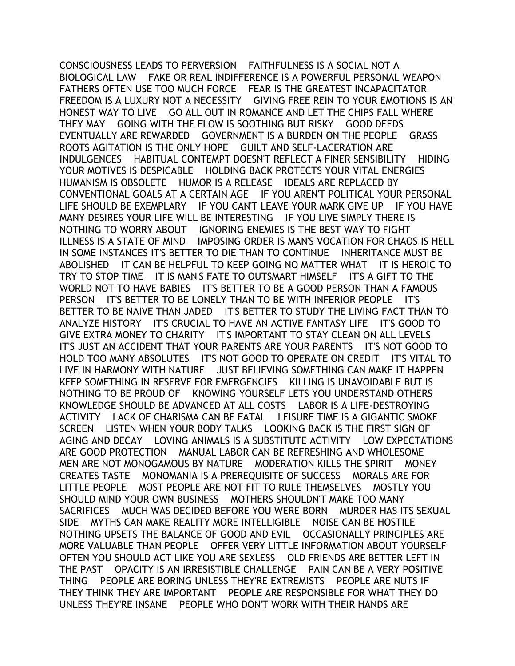CONSCIOUSNESS LEADS TO PERVERSION FAITHFULNESS IS A SOCIAL NOT A BIOLOGICAL LAW FAKE OR REAL INDIFFERENCE IS A POWERFUL PERSONAL WEAPON FATHERS OFTEN USE TOO MUCH FORCE FEAR IS THE GREATEST INCAPACITATOR FREEDOM IS A LUXURY NOT A NECESSITY GIVING FREE REIN TO YOUR EMOTIONS IS AN HONEST WAY TO LIVE GO ALL OUT IN ROMANCE AND LET THE CHIPS FALL WHERE THEY MAY GOING WITH THE FLOW IS SOOTHING BUT RISKY GOOD DEEDS EVENTUALLY ARE REWARDED GOVERNMENT IS A BURDEN ON THE PEOPLE GRASS ROOTS AGITATION IS THE ONLY HOPE GUILT AND SELF-LACERATION ARE INDULGENCES HABITUAL CONTEMPT DOESN'T REFLECT A FINER SENSIBILITY HIDING YOUR MOTIVES IS DESPICABLE HOLDING BACK PROTECTS YOUR VITAL ENERGIES HUMANISM IS OBSOLETE HUMOR IS A RELEASE IDEALS ARE REPLACED BY CONVENTIONAL GOALS AT A CERTAIN AGE IF YOU AREN'T POLITICAL YOUR PERSONAL LIFE SHOULD BE EXEMPLARY IF YOU CAN'T LEAVE YOUR MARK GIVE UP IF YOU HAVE MANY DESIRES YOUR LIFE WILL BE INTERESTING IF YOU LIVE SIMPLY THERE IS NOTHING TO WORRY ABOUT IGNORING ENEMIES IS THE BEST WAY TO FIGHT ILLNESS IS A STATE OF MIND IMPOSING ORDER IS MAN'S VOCATION FOR CHAOS IS HELL IN SOME INSTANCES IT'S BETTER TO DIE THAN TO CONTINUE INHERITANCE MUST BE ABOLISHED IT CAN BE HELPFUL TO KEEP GOING NO MATTER WHAT IT IS HEROIC TO TRY TO STOP TIME IT IS MAN'S FATE TO OUTSMART HIMSELF IT'S A GIFT TO THE WORLD NOT TO HAVE BABIES IT'S BETTER TO BE A GOOD PERSON THAN A FAMOUS PERSON IT'S BETTER TO BE LONELY THAN TO BE WITH INFERIOR PEOPLE IT'S BETTER TO BE NAIVE THAN JADED IT'S BETTER TO STUDY THE LIVING FACT THAN TO ANALYZE HISTORY IT'S CRUCIAL TO HAVE AN ACTIVE FANTASY LIFE IT'S GOOD TO GIVE EXTRA MONEY TO CHARITY IT'S IMPORTANT TO STAY CLEAN ON ALL LEVELS IT'S JUST AN ACCIDENT THAT YOUR PARENTS ARE YOUR PARENTS IT'S NOT GOOD TO HOLD TOO MANY ABSOLUTES IT'S NOT GOOD TO OPERATE ON CREDIT IT'S VITAL TO LIVE IN HARMONY WITH NATURE JUST BELIEVING SOMETHING CAN MAKE IT HAPPEN KEEP SOMETHING IN RESERVE FOR EMERGENCIES KILLING IS UNAVOIDABLE BUT IS NOTHING TO BE PROUD OF KNOWING YOURSELF LETS YOU UNDERSTAND OTHERS KNOWLEDGE SHOULD BE ADVANCED AT ALL COSTS LABOR IS A LIFE-DESTROYING ACTIVITY LACK OF CHARISMA CAN BE FATAL LEISURE TIME IS A GIGANTIC SMOKE SCREEN LISTEN WHEN YOUR BODY TALKS LOOKING BACK IS THE FIRST SIGN OF AGING AND DECAY LOVING ANIMALS IS A SUBSTITUTE ACTIVITY LOW EXPECTATIONS ARE GOOD PROTECTION MANUAL LABOR CAN BE REFRESHING AND WHOLESOME MEN ARE NOT MONOGAMOUS BY NATURE MODERATION KILLS THE SPIRIT MONEY CREATES TASTE MONOMANIA IS A PREREQUISITE OF SUCCESS MORALS ARE FOR LITTLE PEOPLE MOST PEOPLE ARE NOT FIT TO RULE THEMSELVES MOSTLY YOU SHOULD MIND YOUR OWN BUSINESS MOTHERS SHOULDN'T MAKE TOO MANY SACRIFICES MUCH WAS DECIDED BEFORE YOU WERE BORN MURDER HAS ITS SEXUAL SIDE MYTHS CAN MAKE REALITY MORE INTELLIGIBLE NOISE CAN BE HOSTILE NOTHING UPSETS THE BALANCE OF GOOD AND EVIL OCCASIONALLY PRINCIPLES ARE MORE VALUABLE THAN PEOPLE OFFER VERY LITTLE INFORMATION ABOUT YOURSELF OFTEN YOU SHOULD ACT LIKE YOU ARE SEXLESS OLD FRIENDS ARE BETTER LEFT IN THE PAST OPACITY IS AN IRRESISTIBLE CHALLENGE PAIN CAN BE A VERY POSITIVE THING PEOPLE ARE BORING UNLESS THEY'RE EXTREMISTS PEOPLE ARE NUTS IF THEY THINK THEY ARE IMPORTANT PEOPLE ARE RESPONSIBLE FOR WHAT THEY DO UNLESS THEY'RE INSANE PEOPLE WHO DON'T WORK WITH THEIR HANDS ARE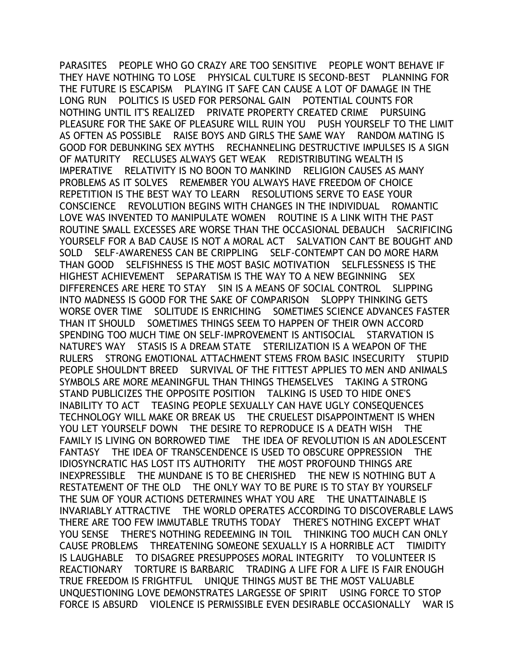PARASITES PEOPLE WHO GO CRAZY ARE TOO SENSITIVE PEOPLE WON'T BEHAVE IF THEY HAVE NOTHING TO LOSE PHYSICAL CULTURE IS SECOND-BEST PLANNING FOR THE FUTURE IS ESCAPISM PLAYING IT SAFE CAN CAUSE A LOT OF DAMAGE IN THE LONG RUN POLITICS IS USED FOR PERSONAL GAIN POTENTIAL COUNTS FOR NOTHING UNTIL IT'S REALIZED PRIVATE PROPERTY CREATED CRIME PURSUING PLEASURE FOR THE SAKE OF PLEASURE WILL RUIN YOU PUSH YOURSELF TO THE LIMIT AS OFTEN AS POSSIBLE RAISE BOYS AND GIRLS THE SAME WAY RANDOM MATING IS GOOD FOR DEBUNKING SEX MYTHS RECHANNELING DESTRUCTIVE IMPULSES IS A SIGN OF MATURITY RECLUSES ALWAYS GET WEAK REDISTRIBUTING WEALTH IS IMPERATIVE RELATIVITY IS NO BOON TO MANKIND RELIGION CAUSES AS MANY PROBLEMS AS IT SOLVES REMEMBER YOU ALWAYS HAVE FREEDOM OF CHOICE REPETITION IS THE BEST WAY TO LEARN RESOLUTIONS SERVE TO EASE YOUR CONSCIENCE REVOLUTION BEGINS WITH CHANGES IN THE INDIVIDUAL ROMANTIC LOVE WAS INVENTED TO MANIPULATE WOMEN ROUTINE IS A LINK WITH THE PAST ROUTINE SMALL EXCESSES ARE WORSE THAN THE OCCASIONAL DEBAUCH SACRIFICING YOURSELF FOR A BAD CAUSE IS NOT A MORAL ACT SALVATION CAN'T BE BOUGHT AND SOLD SELF-AWARENESS CAN BE CRIPPLING SELF-CONTEMPT CAN DO MORE HARM THAN GOOD SELFISHNESS IS THE MOST BASIC MOTIVATION SELFLESSNESS IS THE HIGHEST ACHIEVEMENT SEPARATISM IS THE WAY TO A NEW BEGINNING SEX DIFFERENCES ARE HERE TO STAY SIN IS A MEANS OF SOCIAL CONTROL SLIPPING INTO MADNESS IS GOOD FOR THE SAKE OF COMPARISON SLOPPY THINKING GETS WORSE OVER TIME SOLITUDE IS ENRICHING SOMETIMES SCIENCE ADVANCES FASTER THAN IT SHOULD SOMETIMES THINGS SEEM TO HAPPEN OF THEIR OWN ACCORD SPENDING TOO MUCH TIME ON SELF-IMPROVEMENT IS ANTISOCIAL STARVATION IS NATURE'S WAY STASIS IS A DREAM STATE STERILIZATION IS A WEAPON OF THE RULERS STRONG EMOTIONAL ATTACHMENT STEMS FROM BASIC INSECURITY STUPID PEOPLE SHOULDN'T BREED SURVIVAL OF THE FITTEST APPLIES TO MEN AND ANIMALS SYMBOLS ARE MORE MEANINGFUL THAN THINGS THEMSELVES TAKING A STRONG STAND PUBLICIZES THE OPPOSITE POSITION TALKING IS USED TO HIDE ONE'S INABILITY TO ACT TEASING PEOPLE SEXUALLY CAN HAVE UGLY CONSEQUENCES TECHNOLOGY WILL MAKE OR BREAK US THE CRUELEST DISAPPOINTMENT IS WHEN YOU LET YOURSELF DOWN THE DESIRE TO REPRODUCE IS A DEATH WISH THE FAMILY IS LIVING ON BORROWED TIME THE IDEA OF REVOLUTION IS AN ADOLESCENT FANTASY THE IDEA OF TRANSCENDENCE IS USED TO OBSCURE OPPRESSION THE IDIOSYNCRATIC HAS LOST ITS AUTHORITY THE MOST PROFOUND THINGS ARE INEXPRESSIBLE THE MUNDANE IS TO BE CHERISHED THE NEW IS NOTHING BUT A RESTATEMENT OF THE OLD THE ONLY WAY TO BE PURE IS TO STAY BY YOURSELF THE SUM OF YOUR ACTIONS DETERMINES WHAT YOU ARE THE UNATTAINABLE IS INVARIABLY ATTRACTIVE THE WORLD OPERATES ACCORDING TO DISCOVERABLE LAWS THERE ARE TOO FEW IMMUTABLE TRUTHS TODAY THERE'S NOTHING EXCEPT WHAT YOU SENSE THERE'S NOTHING REDEEMING IN TOIL THINKING TOO MUCH CAN ONLY CAUSE PROBLEMS THREATENING SOMEONE SEXUALLY IS A HORRIBLE ACT TIMIDITY IS LAUGHABLE TO DISAGREE PRESUPPOSES MORAL INTEGRITY TO VOLUNTEER IS REACTIONARY TORTURE IS BARBARIC TRADING A LIFE FOR A LIFE IS FAIR ENOUGH TRUE FREEDOM IS FRIGHTFUL UNIQUE THINGS MUST BE THE MOST VALUABLE UNQUESTIONING LOVE DEMONSTRATES LARGESSE OF SPIRIT USING FORCE TO STOP FORCE IS ABSURD VIOLENCE IS PERMISSIBLE EVEN DESIRABLE OCCASIONALLY WAR IS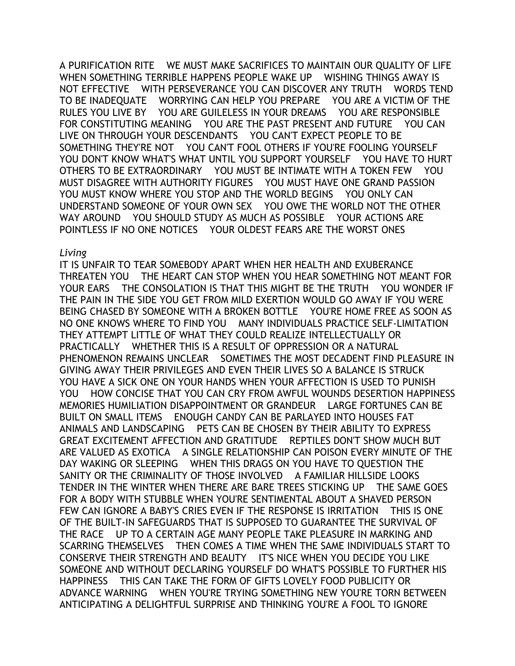A PURIFICATION RITE WE MUST MAKE SACRIFICES TO MAINTAIN OUR QUALITY OF LIFE WHEN SOMETHING TERRIBLE HAPPENS PEOPLE WAKE UP WISHING THINGS AWAY IS NOT EFFECTIVE WITH PERSEVERANCE YOU CAN DISCOVER ANY TRUTH WORDS TEND TO BE INADEQUATE WORRYING CAN HELP YOU PREPARE YOU ARE A VICTIM OF THE RULES YOU LIVE BY YOU ARE GUILELESS IN YOUR DREAMS YOU ARE RESPONSIBLE FOR CONSTITUTING MEANING YOU ARE THE PAST PRESENT AND FUTURE YOU CAN LIVE ON THROUGH YOUR DESCENDANTS YOU CAN'T EXPECT PEOPLE TO BE SOMETHING THEY'RE NOT YOU CAN'T FOOL OTHERS IF YOU'RE FOOLING YOURSELF YOU DON'T KNOW WHAT'S WHAT UNTIL YOU SUPPORT YOURSELF YOU HAVE TO HURT OTHERS TO BE EXTRAORDINARY YOU MUST BE INTIMATE WITH A TOKEN FEW YOU MUST DISAGREE WITH AUTHORITY FIGURES YOU MUST HAVE ONE GRAND PASSION YOU MUST KNOW WHERE YOU STOP AND THE WORLD BEGINS YOU ONLY CAN UNDERSTAND SOMEONE OF YOUR OWN SEX YOU OWE THE WORLD NOT THE OTHER WAY AROUND YOU SHOULD STUDY AS MUCH AS POSSIBLE YOUR ACTIONS ARE POINTLESS IF NO ONE NOTICES YOUR OLDEST FEARS ARE THE WORST ONES

## *Living*

IT IS UNFAIR TO TEAR SOMEBODY APART WHEN HER HEALTH AND EXUBERANCE THREATEN YOU THE HEART CAN STOP WHEN YOU HEAR SOMETHING NOT MEANT FOR YOUR EARS THE CONSOLATION IS THAT THIS MIGHT BE THE TRUTH YOU WONDER IF THE PAIN IN THE SIDE YOU GET FROM MILD EXERTION WOULD GO AWAY IF YOU WERE BEING CHASED BY SOMEONE WITH A BROKEN BOTTLE YOU'RE HOME FREE AS SOON AS NO ONE KNOWS WHERE TO FIND YOU MANY INDIVIDUALS PRACTICE SELF-LIMITATION THEY ATTEMPT LITTLE OF WHAT THEY COULD REALIZE INTELLECTUALLY OR PRACTICALLY WHETHER THIS IS A RESULT OF OPPRESSION OR A NATURAL PHENOMENON REMAINS UNCLEAR SOMETIMES THE MOST DECADENT FIND PLEASURE IN GIVING AWAY THEIR PRIVILEGES AND EVEN THEIR LIVES SO A BALANCE IS STRUCK YOU HAVE A SICK ONE ON YOUR HANDS WHEN YOUR AFFECTION IS USED TO PUNISH YOU HOW CONCISE THAT YOU CAN CRY FROM AWFUL WOUNDS DESERTION HAPPINESS MEMORIES HUMILIATION DISAPPOINTMENT OR GRANDEUR LARGE FORTUNES CAN BE BUILT ON SMALL ITEMS ENOUGH CANDY CAN BE PARLAYED INTO HOUSES FAT ANIMALS AND LANDSCAPING PETS CAN BE CHOSEN BY THEIR ABILITY TO EXPRESS GREAT EXCITEMENT AFFECTION AND GRATITUDE REPTILES DON'T SHOW MUCH BUT ARE VALUED AS EXOTICA A SINGLE RELATIONSHIP CAN POISON EVERY MINUTE OF THE DAY WAKING OR SLEEPING WHEN THIS DRAGS ON YOU HAVE TO QUESTION THE SANITY OR THE CRIMINALITY OF THOSE INVOLVED A FAMILIAR HILLSIDE LOOKS TENDER IN THE WINTER WHEN THERE ARE BARE TREES STICKING UP THE SAME GOES FOR A BODY WITH STUBBLE WHEN YOU'RE SENTIMENTAL ABOUT A SHAVED PERSON FEW CAN IGNORE A BABY'S CRIES EVEN IF THE RESPONSE IS IRRITATION THIS IS ONE OF THE BUILT-IN SAFEGUARDS THAT IS SUPPOSED TO GUARANTEE THE SURVIVAL OF THE RACE UP TO A CERTAIN AGE MANY PEOPLE TAKE PLEASURE IN MARKING AND SCARRING THEMSELVES THEN COMES A TIME WHEN THE SAME INDIVIDUALS START TO CONSERVE THEIR STRENGTH AND BEAUTY IT'S NICE WHEN YOU DECIDE YOU LIKE SOMEONE AND WITHOUT DECLARING YOURSELF DO WHAT'S POSSIBLE TO FURTHER HIS HAPPINESS THIS CAN TAKE THE FORM OF GIFTS LOVELY FOOD PUBLICITY OR ADVANCE WARNING WHEN YOU'RE TRYING SOMETHING NEW YOU'RE TORN BETWEEN ANTICIPATING A DELIGHTFUL SURPRISE AND THINKING YOU'RE A FOOL TO IGNORE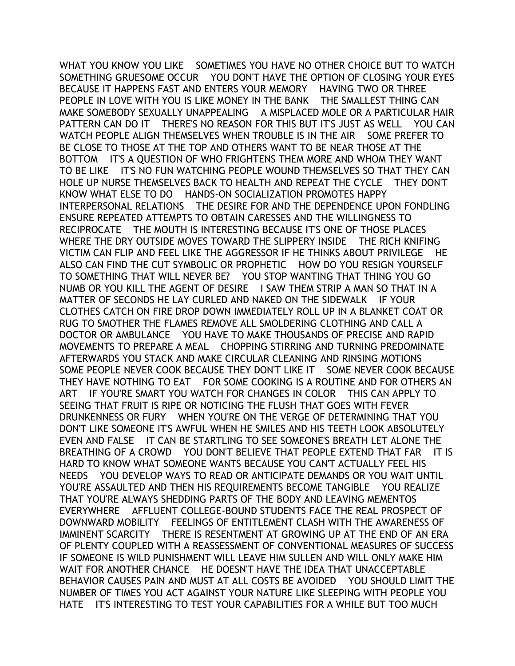WHAT YOU KNOW YOU LIKE SOMETIMES YOU HAVE NO OTHER CHOICE BUT TO WATCH SOMETHING GRUESOME OCCUR YOU DON'T HAVE THE OPTION OF CLOSING YOUR EYES BECAUSE IT HAPPENS FAST AND ENTERS YOUR MEMORY HAVING TWO OR THREE PEOPLE IN LOVE WITH YOU IS LIKE MONEY IN THE BANK THE SMALLEST THING CAN MAKE SOMEBODY SEXUALLY UNAPPEALING A MISPLACED MOLE OR A PARTICULAR HAIR PATTERN CAN DO IT THERE'S NO REASON FOR THIS BUT IT'S JUST AS WELL YOU CAN WATCH PEOPLE ALIGN THEMSELVES WHEN TROUBLE IS IN THE AIR SOME PREFER TO BE CLOSE TO THOSE AT THE TOP AND OTHERS WANT TO BE NEAR THOSE AT THE BOTTOM IT'S A QUESTION OF WHO FRIGHTENS THEM MORE AND WHOM THEY WANT TO BE LIKE IT'S NO FUN WATCHING PEOPLE WOUND THEMSELVES SO THAT THEY CAN HOLE UP NURSE THEMSELVES BACK TO HEALTH AND REPEAT THE CYCLE THEY DON'T KNOW WHAT ELSE TO DO HANDS-ON SOCIALIZATION PROMOTES HAPPY INTERPERSONAL RELATIONS THE DESIRE FOR AND THE DEPENDENCE UPON FONDLING ENSURE REPEATED ATTEMPTS TO OBTAIN CARESSES AND THE WILLINGNESS TO RECIPROCATE THE MOUTH IS INTERESTING BECAUSE IT'S ONE OF THOSE PLACES WHERE THE DRY OUTSIDE MOVES TOWARD THE SLIPPERY INSIDE THE RICH KNIFING VICTIM CAN FLIP AND FEEL LIKE THE AGGRESSOR IF HE THINKS ABOUT PRIVILEGE HE ALSO CAN FIND THE CUT SYMBOLIC OR PROPHETIC HOW DO YOU RESIGN YOURSELF TO SOMETHING THAT WILL NEVER BE? YOU STOP WANTING THAT THING YOU GO NUMB OR YOU KILL THE AGENT OF DESIRE I SAW THEM STRIP A MAN SO THAT IN A MATTER OF SECONDS HE LAY CURLED AND NAKED ON THE SIDEWALK IF YOUR CLOTHES CATCH ON FIRE DROP DOWN IMMEDIATELY ROLL UP IN A BLANKET COAT OR RUG TO SMOTHER THE FLAMES REMOVE ALL SMOLDERING CLOTHING AND CALL A DOCTOR OR AMBULANCE YOU HAVE TO MAKE THOUSANDS OF PRECISE AND RAPID MOVEMENTS TO PREPARE A MEAL CHOPPING STIRRING AND TURNING PREDOMINATE AFTERWARDS YOU STACK AND MAKE CIRCULAR CLEANING AND RINSING MOTIONS SOME PEOPLE NEVER COOK BECAUSE THEY DON'T LIKE IT SOME NEVER COOK BECAUSE THEY HAVE NOTHING TO EAT FOR SOME COOKING IS A ROUTINE AND FOR OTHERS AN ART IF YOU'RE SMART YOU WATCH FOR CHANGES IN COLOR THIS CAN APPLY TO SEEING THAT FRUIT IS RIPE OR NOTICING THE FLUSH THAT GOES WITH FEVER DRUNKENNESS OR FURY WHEN YOU'RE ON THE VERGE OF DETERMINING THAT YOU DON'T LIKE SOMEONE IT'S AWFUL WHEN HE SMILES AND HIS TEETH LOOK ABSOLUTELY EVEN AND FALSE IT CAN BE STARTLING TO SEE SOMEONE'S BREATH LET ALONE THE BREATHING OF A CROWD YOU DON'T BELIEVE THAT PEOPLE EXTEND THAT FAR IT IS HARD TO KNOW WHAT SOMEONE WANTS BECAUSE YOU CAN'T ACTUALLY FEEL HIS NEEDS YOU DEVELOP WAYS TO READ OR ANTICIPATE DEMANDS OR YOU WAIT UNTIL YOU'RE ASSAULTED AND THEN HIS REQUIREMENTS BECOME TANGIBLE YOU REALIZE THAT YOU'RE ALWAYS SHEDDING PARTS OF THE BODY AND LEAVING MEMENTOS EVERYWHERE AFFLUENT COLLEGE-BOUND STUDENTS FACE THE REAL PROSPECT OF DOWNWARD MOBILITY FEELINGS OF ENTITLEMENT CLASH WITH THE AWARENESS OF IMMINENT SCARCITY THERE IS RESENTMENT AT GROWING UP AT THE END OF AN ERA OF PLENTY COUPLED WITH A REASSESSMENT OF CONVENTIONAL MEASURES OF SUCCESS IF SOMEONE IS WILD PUNISHMENT WILL LEAVE HIM SULLEN AND WILL ONLY MAKE HIM WAIT FOR ANOTHER CHANCE HE DOESN'T HAVE THE IDEA THAT UNACCEPTABLE BEHAVIOR CAUSES PAIN AND MUST AT ALL COSTS BE AVOIDED YOU SHOULD LIMIT THE NUMBER OF TIMES YOU ACT AGAINST YOUR NATURE LIKE SLEEPING WITH PEOPLE YOU HATE IT'S INTERESTING TO TEST YOUR CAPABILITIES FOR A WHILE BUT TOO MUCH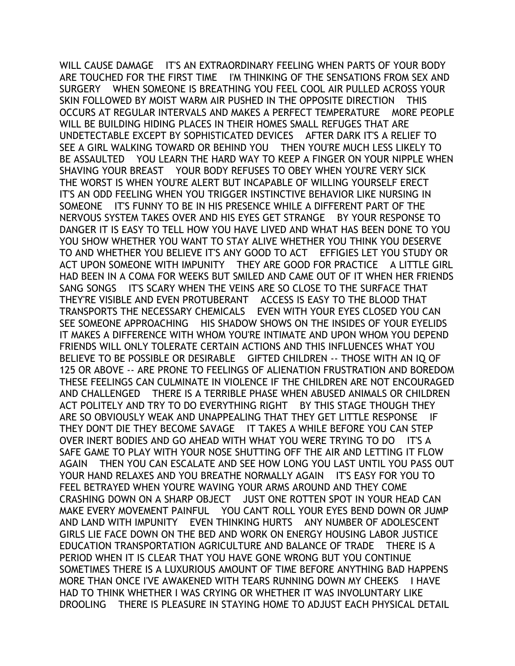WILL CAUSE DAMAGE IT'S AN EXTRAORDINARY FEELING WHEN PARTS OF YOUR BODY ARE TOUCHED FOR THE FIRST TIME I'M THINKING OF THE SENSATIONS FROM SEX AND SURGERY WHEN SOMEONE IS BREATHING YOU FEEL COOL AIR PULLED ACROSS YOUR SKIN FOLLOWED BY MOIST WARM AIR PUSHED IN THE OPPOSITE DIRECTION THIS OCCURS AT REGULAR INTERVALS AND MAKES A PERFECT TEMPERATURE MORE PEOPLE WILL BE BUILDING HIDING PLACES IN THEIR HOMES SMALL REFUGES THAT ARE UNDETECTABLE EXCEPT BY SOPHISTICATED DEVICES AFTER DARK IT'S A RELIEF TO SEE A GIRL WALKING TOWARD OR BEHIND YOU THEN YOU'RE MUCH LESS LIKELY TO BE ASSAULTED YOU LEARN THE HARD WAY TO KEEP A FINGER ON YOUR NIPPLE WHEN SHAVING YOUR BREAST YOUR BODY REFUSES TO OBEY WHEN YOU'RE VERY SICK THE WORST IS WHEN YOU'RE ALERT BUT INCAPABLE OF WILLING YOURSELF ERECT IT'S AN ODD FEELING WHEN YOU TRIGGER INSTINCTIVE BEHAVIOR LIKE NURSING IN SOMEONE IT'S FUNNY TO BE IN HIS PRESENCE WHILE A DIFFERENT PART OF THE NERVOUS SYSTEM TAKES OVER AND HIS EYES GET STRANGE BY YOUR RESPONSE TO DANGER IT IS EASY TO TELL HOW YOU HAVE LIVED AND WHAT HAS BEEN DONE TO YOU YOU SHOW WHETHER YOU WANT TO STAY ALIVE WHETHER YOU THINK YOU DESERVE TO AND WHETHER YOU BELIEVE IT'S ANY GOOD TO ACT EFFIGIES LET YOU STUDY OR ACT UPON SOMEONE WITH IMPUNITY THEY ARE GOOD FOR PRACTICE A LITTLE GIRL HAD BEEN IN A COMA FOR WEEKS BUT SMILED AND CAME OUT OF IT WHEN HER FRIENDS SANG SONGS IT'S SCARY WHEN THE VEINS ARE SO CLOSE TO THE SURFACE THAT THEY'RE VISIBLE AND EVEN PROTUBERANT ACCESS IS EASY TO THE BLOOD THAT TRANSPORTS THE NECESSARY CHEMICALS EVEN WITH YOUR EYES CLOSED YOU CAN SEE SOMEONE APPROACHING HIS SHADOW SHOWS ON THE INSIDES OF YOUR EYELIDS IT MAKES A DIFFERENCE WITH WHOM YOU'RE INTIMATE AND UPON WHOM YOU DEPEND FRIENDS WILL ONLY TOLERATE CERTAIN ACTIONS AND THIS INFLUENCES WHAT YOU BELIEVE TO BE POSSIBLE OR DESIRABLE GIFTED CHILDREN -- THOSE WITH AN IQ OF 125 OR ABOVE -- ARE PRONE TO FEELINGS OF ALIENATION FRUSTRATION AND BOREDOM THESE FEELINGS CAN CULMINATE IN VIOLENCE IF THE CHILDREN ARE NOT ENCOURAGED AND CHALLENGED THERE IS A TERRIBLE PHASE WHEN ABUSED ANIMALS OR CHILDREN ACT POLITELY AND TRY TO DO EVERYTHING RIGHT BY THIS STAGE THOUGH THEY ARE SO OBVIOUSLY WEAK AND UNAPPEALING THAT THEY GET LITTLE RESPONSE IF THEY DON'T DIE THEY BECOME SAVAGE IT TAKES A WHILE BEFORE YOU CAN STEP OVER INERT BODIES AND GO AHEAD WITH WHAT YOU WERE TRYING TO DO IT'S A SAFE GAME TO PLAY WITH YOUR NOSE SHUTTING OFF THE AIR AND LETTING IT FLOW AGAIN THEN YOU CAN ESCALATE AND SEE HOW LONG YOU LAST UNTIL YOU PASS OUT YOUR HAND RELAXES AND YOU BREATHE NORMALLY AGAIN IT'S EASY FOR YOU TO FEEL BETRAYED WHEN YOU'RE WAVING YOUR ARMS AROUND AND THEY COME CRASHING DOWN ON A SHARP OBJECT JUST ONE ROTTEN SPOT IN YOUR HEAD CAN MAKE EVERY MOVEMENT PAINFUL YOU CAN'T ROLL YOUR EYES BEND DOWN OR JUMP AND LAND WITH IMPUNITY EVEN THINKING HURTS ANY NUMBER OF ADOLESCENT GIRLS LIE FACE DOWN ON THE BED AND WORK ON ENERGY HOUSING LABOR JUSTICE EDUCATION TRANSPORTATION AGRICULTURE AND BALANCE OF TRADE THERE IS A PERIOD WHEN IT IS CLEAR THAT YOU HAVE GONE WRONG BUT YOU CONTINUE SOMETIMES THERE IS A LUXURIOUS AMOUNT OF TIME BEFORE ANYTHING BAD HAPPENS MORE THAN ONCE I'VE AWAKENED WITH TEARS RUNNING DOWN MY CHEEKS I HAVE HAD TO THINK WHETHER I WAS CRYING OR WHETHER IT WAS INVOLUNTARY LIKE DROOLING THERE IS PLEASURE IN STAYING HOME TO ADJUST EACH PHYSICAL DETAIL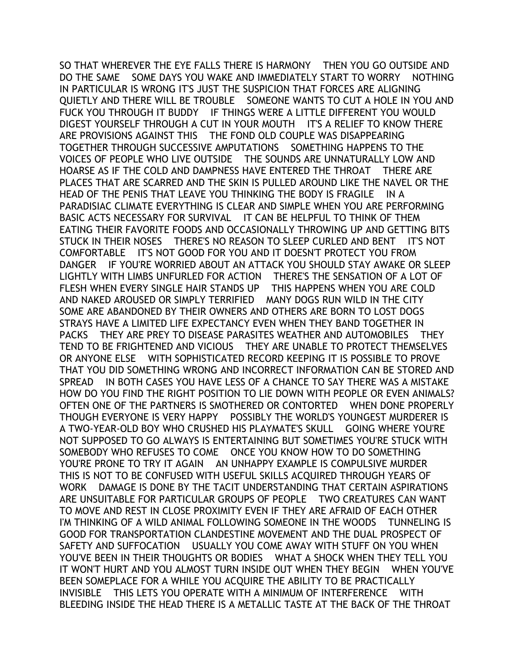SO THAT WHEREVER THE EYE FALLS THERE IS HARMONY THEN YOU GO OUTSIDE AND DO THE SAME SOME DAYS YOU WAKE AND IMMEDIATELY START TO WORRY NOTHING IN PARTICULAR IS WRONG IT'S JUST THE SUSPICION THAT FORCES ARE ALIGNING QUIETLY AND THERE WILL BE TROUBLE SOMEONE WANTS TO CUT A HOLE IN YOU AND FUCK YOU THROUGH IT BUDDY IF THINGS WERE A LITTLE DIFFERENT YOU WOULD DIGEST YOURSELF THROUGH A CUT IN YOUR MOUTH IT'S A RELIEF TO KNOW THERE ARE PROVISIONS AGAINST THIS THE FOND OLD COUPLE WAS DISAPPEARING TOGETHER THROUGH SUCCESSIVE AMPUTATIONS SOMETHING HAPPENS TO THE VOICES OF PEOPLE WHO LIVE OUTSIDE THE SOUNDS ARE UNNATURALLY LOW AND HOARSE AS IF THE COLD AND DAMPNESS HAVE ENTERED THE THROAT THERE ARE PLACES THAT ARE SCARRED AND THE SKIN IS PULLED AROUND LIKE THE NAVEL OR THE HEAD OF THE PENIS THAT LEAVE YOU THINKING THE BODY IS FRAGILE IN A PARADISIAC CLIMATE EVERYTHING IS CLEAR AND SIMPLE WHEN YOU ARE PERFORMING BASIC ACTS NECESSARY FOR SURVIVAL IT CAN BE HELPFUL TO THINK OF THEM EATING THEIR FAVORITE FOODS AND OCCASIONALLY THROWING UP AND GETTING BITS STUCK IN THEIR NOSES THERE'S NO REASON TO SLEEP CURLED AND BENT IT'S NOT COMFORTABLE IT'S NOT GOOD FOR YOU AND IT DOESN'T PROTECT YOU FROM DANGER IF YOU'RE WORRIED ABOUT AN ATTACK YOU SHOULD STAY AWAKE OR SLEEP LIGHTLY WITH LIMBS UNFURLED FOR ACTION THERE'S THE SENSATION OF A LOT OF FLESH WHEN EVERY SINGLE HAIR STANDS UP THIS HAPPENS WHEN YOU ARE COLD AND NAKED AROUSED OR SIMPLY TERRIFIED MANY DOGS RUN WILD IN THE CITY SOME ARE ABANDONED BY THEIR OWNERS AND OTHERS ARE BORN TO LOST DOGS STRAYS HAVE A LIMITED LIFE EXPECTANCY EVEN WHEN THEY BAND TOGETHER IN PACKS THEY ARE PREY TO DISEASE PARASITES WEATHER AND AUTOMOBILES THEY TEND TO BE FRIGHTENED AND VICIOUS THEY ARE UNABLE TO PROTECT THEMSELVES OR ANYONE ELSE WITH SOPHISTICATED RECORD KEEPING IT IS POSSIBLE TO PROVE THAT YOU DID SOMETHING WRONG AND INCORRECT INFORMATION CAN BE STORED AND SPREAD IN BOTH CASES YOU HAVE LESS OF A CHANCE TO SAY THERE WAS A MISTAKE HOW DO YOU FIND THE RIGHT POSITION TO LIE DOWN WITH PEOPLE OR EVEN ANIMALS? OFTEN ONE OF THE PARTNERS IS SMOTHERED OR CONTORTED WHEN DONE PROPERLY THOUGH EVERYONE IS VERY HAPPY POSSIBLY THE WORLD'S YOUNGEST MURDERER IS A TWO-YEAR-OLD BOY WHO CRUSHED HIS PLAYMATE'S SKULL GOING WHERE YOU'RE NOT SUPPOSED TO GO ALWAYS IS ENTERTAINING BUT SOMETIMES YOU'RE STUCK WITH SOMEBODY WHO REFUSES TO COME ONCE YOU KNOW HOW TO DO SOMETHING YOU'RE PRONE TO TRY IT AGAIN AN UNHAPPY EXAMPLE IS COMPULSIVE MURDER THIS IS NOT TO BE CONFUSED WITH USEFUL SKILLS ACQUIRED THROUGH YEARS OF WORK DAMAGE IS DONE BY THE TACIT UNDERSTANDING THAT CERTAIN ASPIRATIONS ARE UNSUITABLE FOR PARTICULAR GROUPS OF PEOPLE TWO CREATURES CAN WANT TO MOVE AND REST IN CLOSE PROXIMITY EVEN IF THEY ARE AFRAID OF EACH OTHER I'M THINKING OF A WILD ANIMAL FOLLOWING SOMEONE IN THE WOODS TUNNELING IS GOOD FOR TRANSPORTATION CLANDESTINE MOVEMENT AND THE DUAL PROSPECT OF SAFETY AND SUFFOCATION USUALLY YOU COME AWAY WITH STUFF ON YOU WHEN YOU'VE BEEN IN THEIR THOUGHTS OR BODIES WHAT A SHOCK WHEN THEY TELL YOU IT WON'T HURT AND YOU ALMOST TURN INSIDE OUT WHEN THEY BEGIN WHEN YOU'VE BEEN SOMEPLACE FOR A WHILE YOU ACQUIRE THE ABILITY TO BE PRACTICALLY INVISIBLE THIS LETS YOU OPERATE WITH A MINIMUM OF INTERFERENCE WITH BLEEDING INSIDE THE HEAD THERE IS A METALLIC TASTE AT THE BACK OF THE THROAT